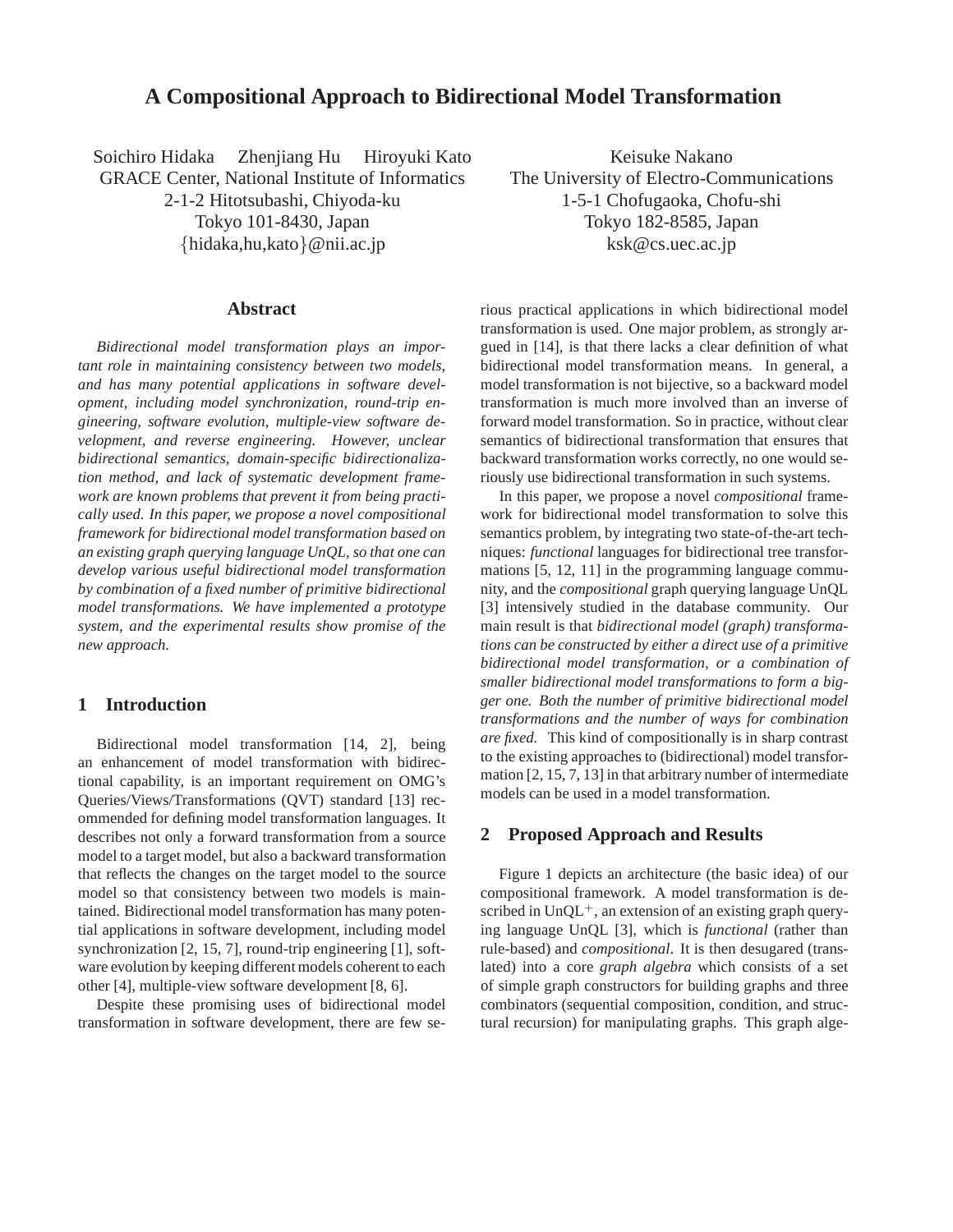# **A Compositional Approach to Bidirectional Model Transformation**

Soichiro Hidaka Zhenjiang Hu Hiroyuki Kato GRACE Center, National Institute of Informatics

2-1-2 Hitotsubashi, Chiyoda-ku Tokyo 101-8430, Japan {hidaka,hu,kato}@nii.ac.jp

# **Abstract**

*Bidirectional model transformation plays an important role in maintaining consistency between two models, and has many potential applications in software development, including model synchronization, round-trip engineering, software evolution, multiple-view software development, and reverse engineering. However, unclear bidirectional semantics, domain-specific bidirectionalization method, and lack of systematic development framework are known problems that prevent it from being practically used. In this paper, we propose a novel compositional framework for bidirectional model transformation based on an existing graph querying language UnQL, so that one can develop various useful bidirectional model transformation by combination of a fixed number of primitive bidirectional model transformations. We have implemented a prototype system, and the experimental results show promise of the new approach.*

# **1 Introduction**

Bidirectional model transformation [14, 2], being an enhancement of model transformation with bidirectional capability, is an important requirement on OMG's Queries/Views/Transformations (QVT) standard [13] recommended for defining model transformation languages. It describes not only a forward transformation from a source model to a target model, but also a backward transformation that reflects the changes on the target model to the source model so that consistency between two models is maintained. Bidirectional model transformation has many potential applications in software development, including model synchronization [2, 15, 7], round-trip engineering [1], software evolution by keeping different models coherent to each other [4], multiple-view software development [8, 6].

Despite these promising uses of bidirectional model transformation in software development, there are few se-

Keisuke Nakano The University of Electro-Communications 1-5-1 Chofugaoka, Chofu-shi Tokyo 182-8585, Japan ksk@cs.uec.ac.jp

rious practical applications in which bidirectional model transformation is used. One major problem, as strongly argued in [14], is that there lacks a clear definition of what bidirectional model transformation means. In general, a model transformation is not bijective, so a backward model transformation is much more involved than an inverse of forward model transformation. So in practice, without clear semantics of bidirectional transformation that ensures that backward transformation works correctly, no one would seriously use bidirectional transformation in such systems.

In this paper, we propose a novel *compositional* framework for bidirectional model transformation to solve this semantics problem, by integrating two state-of-the-art techniques: *functional* languages for bidirectional tree transformations [5, 12, 11] in the programming language community, and the *compositional* graph querying language UnQL [3] intensively studied in the database community. Our main result is that *bidirectional model (graph) transformations can be constructed by either a direct use of a primitive bidirectional model transformation, or a combination of smaller bidirectional model transformations to form a bigger one. Both the number of primitive bidirectional model transformations and the number of ways for combination are fixed.* This kind of compositionally is in sharp contrast to the existing approaches to (bidirectional) model transformation [2, 15, 7, 13] in that arbitrary number of intermediate models can be used in a model transformation.

# **2 Proposed Approach and Results**

Figure 1 depicts an architecture (the basic idea) of our compositional framework. A model transformation is described in  $UnQL^+$ , an extension of an existing graph querying language UnQL [3], which is *functional* (rather than rule-based) and *compositional*. It is then desugared (translated) into a core *graph algebra* which consists of a set of simple graph constructors for building graphs and three combinators (sequential composition, condition, and structural recursion) for manipulating graphs. This graph alge-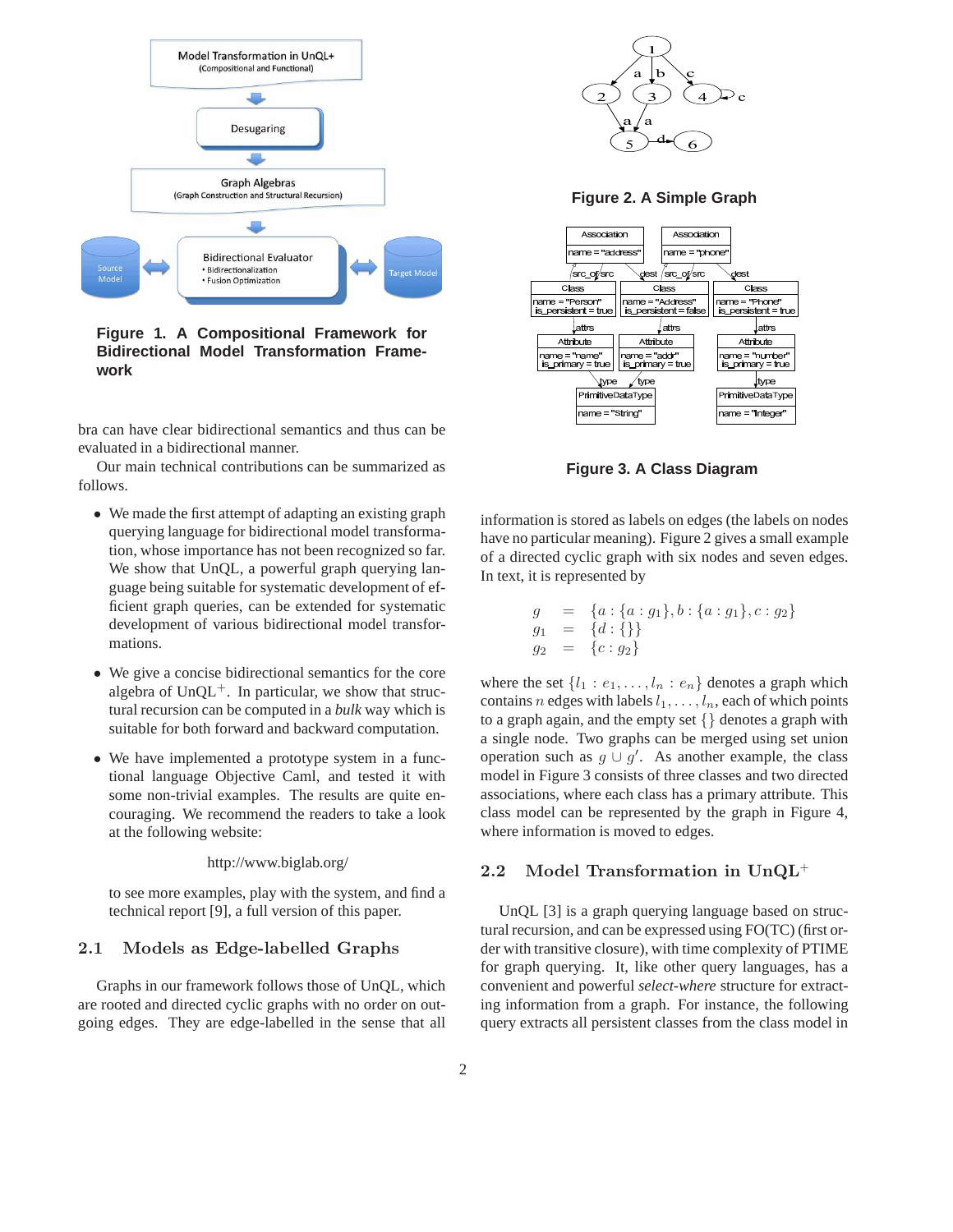

**Figure 1. A Compositional Framework for Bidirectional Model Transformation Framework**

bra can have clear bidirectional semantics and thus can be evaluated in a bidirectional manner.

Our main technical contributions can be summarized as follows.

- We made the first attempt of adapting an existing graph querying language for bidirectional model transformation, whose importance has not been recognized so far. We show that UnQL, a powerful graph querying language being suitable for systematic development of efficient graph queries, can be extended for systematic development of various bidirectional model transformations.
- We give a concise bidirectional semantics for the core algebra of  $UnQL<sup>+</sup>$ . In particular, we show that structural recursion can be computed in a *bulk* way which is suitable for both forward and backward computation.
- We have implemented a prototype system in a functional language Objective Caml, and tested it with some non-trivial examples. The results are quite encouraging. We recommend the readers to take a look at the following website:

http://www.biglab.org/

to see more examples, play with the system, and find a technical report [9], a full version of this paper.

## 2.1 Models as Edge-labelled Graphs

Graphs in our framework follows those of UnQL, which are rooted and directed cyclic graphs with no order on outgoing edges. They are edge-labelled in the sense that all



**Figure 2. A Simple Graph**



**Figure 3. A Class Diagram**

information is stored as labels on edges (the labels on nodes have no particular meaning). Figure 2 gives a small example of a directed cyclic graph with six nodes and seven edges. In text, it is represented by

$$
g = \{a : \{a : g_1\}, b : \{a : g_1\}, c : g_2\}
$$
  
\n
$$
g_1 = \{d : \{\}\}
$$
  
\n
$$
g_2 = \{c : g_2\}
$$

where the set  $\{l_1 : e_1, \ldots, l_n : e_n\}$  denotes a graph which contains n edges with labels  $l_1, \ldots, l_n$ , each of which points to a graph again, and the empty set  $\{\}$  denotes a graph with a single node. Two graphs can be merged using set union operation such as  $g \cup g'$ . As another example, the class model in Figure 3 consists of three classes and two directed associations, where each class has a primary attribute. This class model can be represented by the graph in Figure 4, where information is moved to edges.

## 2.2 Model Transformation in UnQL<sup>+</sup>

UnQL [3] is a graph querying language based on structural recursion, and can be expressed using FO(TC) (first order with transitive closure), with time complexity of PTIME for graph querying. It, like other query languages, has a convenient and powerful *select-where* structure for extracting information from a graph. For instance, the following query extracts all persistent classes from the class model in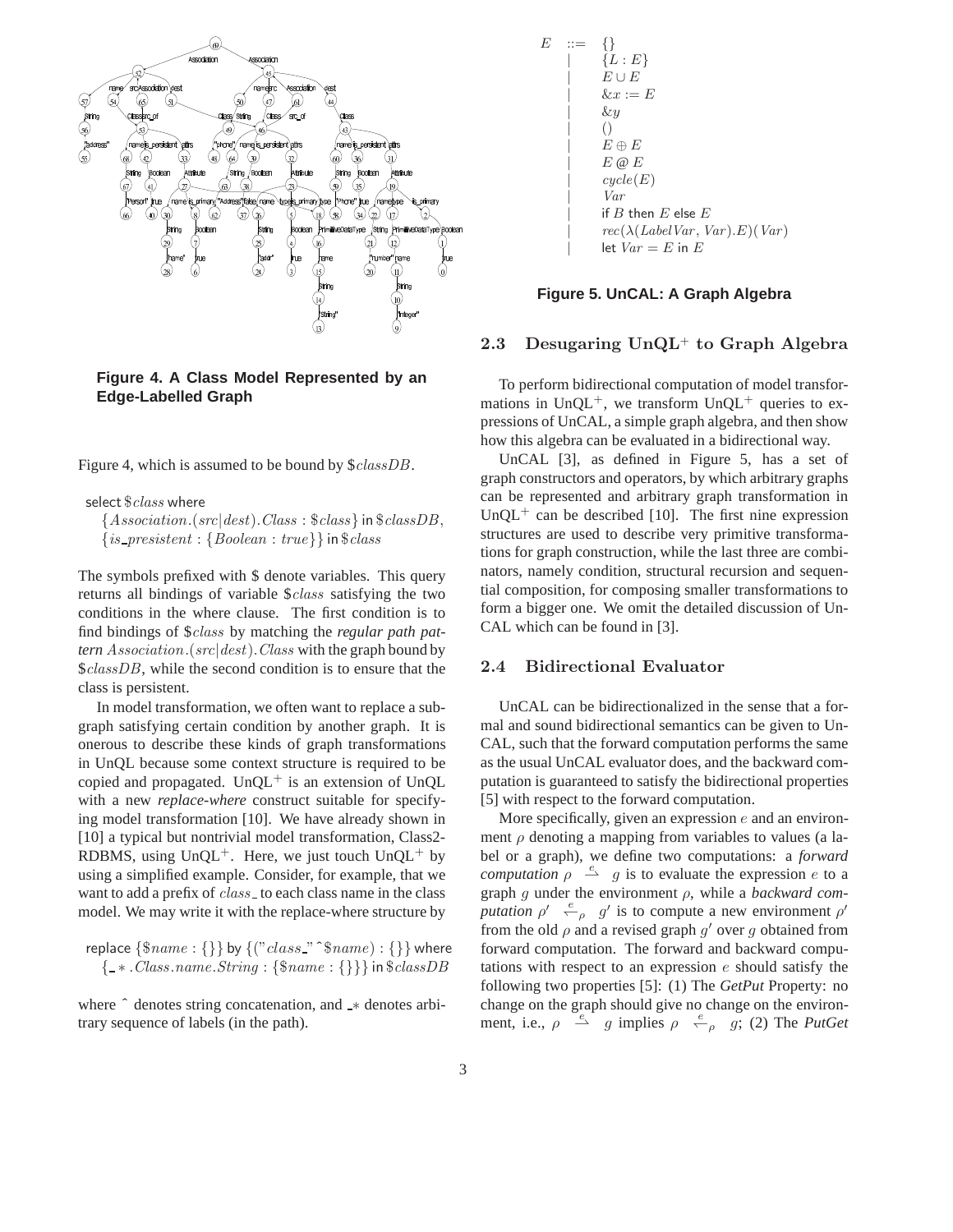

**Figure 4. A Class Model Represented by an Edge-Labelled Graph**

Figure 4, which is assumed to be bound by \$classDB.

select  $$class$  where

 ${Association.(src|dest). Class : \$ class}$  in  $\$classDB$ ,  $\{is\_present : \{Boolean : true\}\}\$ in  $\$class$ 

The symbols prefixed with \$ denote variables. This query returns all bindings of variable \$class satisfying the two conditions in the where clause. The first condition is to find bindings of \$class by matching the *regular path pattern* Association.(src|dest).Class with the graph bound by \$*classDB*, while the second condition is to ensure that the class is persistent.

In model transformation, we often want to replace a subgraph satisfying certain condition by another graph. It is onerous to describe these kinds of graph transformations in UnQL because some context structure is required to be copied and propagated.  $UnQL^+$  is an extension of UnQL with a new *replace-where* construct suitable for specifying model transformation [10]. We have already shown in [10] a typical but nontrivial model transformation, Class2-RDBMS, using  $UnQL^+$ . Here, we just touch  $UnQL^+$  by using a simplified example. Consider, for example, that we want to add a prefix of *class* to each class name in the class model. We may write it with the replace-where structure by

replace  $\{\$name : \{\}\}$  by  $\{("class\_\text{``}}\$name) : \{\}\}$  where { ∗ .Class.name.String : {\$name : {}}} in \$classDB

where  $\hat{ }$  denotes string concatenation, and  $\hat{ }$  ≠ denotes arbitrary sequence of labels (in the path).

$$
E \begin{array}{ll}\nE & ::= & \{\} \\
\mid & \{L : E\} \\
E \cup E \\
& \& x := E\n\end{array}
$$
\n
$$
\begin{array}{ll}\n\downarrow & \downarrow & \downarrow & \downarrow \\
\downarrow & \downarrow & \downarrow & \downarrow \\
\mid & \downarrow & \downarrow & \downarrow \\
E \oplus E \\
E \oplus E \\
\mid & \downarrow & \downarrow & \downarrow \\
E \oplus E \\
\mid & \downarrow & \downarrow \\
Var & \mid & \downarrow & \downarrow \\
\downarrow & \downarrow & \downarrow \\
\downarrow & \downarrow & \downarrow\n\end{array}
$$
\n
$$
\begin{array}{ll}\n\downarrow & \downarrow & \downarrow & \downarrow \\
\downarrow & \downarrow & \downarrow & \downarrow \\
\downarrow & \downarrow & \downarrow & \downarrow \\
\downarrow & \downarrow & \downarrow & \downarrow \\
\downarrow & \downarrow & \downarrow & \downarrow \\
\downarrow & \downarrow & \downarrow & \downarrow\n\end{array}
$$

#### **Figure 5. UnCAL: A Graph Algebra**

## 2.3 Desugaring  $UnQL^+$  to Graph Algebra

To perform bidirectional computation of model transformations in  $UnQL^+$ , we transform  $UnQL^+$  queries to expressions of UnCAL, a simple graph algebra, and then show how this algebra can be evaluated in a bidirectional way.

UnCAL [3], as defined in Figure 5, has a set of graph constructors and operators, by which arbitrary graphs can be represented and arbitrary graph transformation in UnQL<sup>+</sup> can be described [10]. The first nine expression structures are used to describe very primitive transformations for graph construction, while the last three are combinators, namely condition, structural recursion and sequential composition, for composing smaller transformations to form a bigger one. We omit the detailed discussion of Un-CAL which can be found in [3].

## 2.4 Bidirectional Evaluator

UnCAL can be bidirectionalized in the sense that a formal and sound bidirectional semantics can be given to Un-CAL, such that the forward computation performs the same as the usual UnCAL evaluator does, and the backward computation is guaranteed to satisfy the bidirectional properties [5] with respect to the forward computation.

More specifically, given an expression  $e$  and an environment  $\rho$  denoting a mapping from variables to values (a label or a graph), we define two computations: a *forward computation*  $\rho \stackrel{e}{\rightarrow} g$  is to evaluate the expression e to a graph g under the environment ρ, while a *backward computation*  $\rho' \stackrel{e}{\leftarrow} \rho$  g' is to compute a new environment  $\rho'$ from the old  $\rho$  and a revised graph  $g'$  over g obtained from forward computation. The forward and backward computations with respect to an expression e should satisfy the following two properties [5]: (1) The *GetPut* Property: no change on the graph should give no change on the environment, i.e.,  $\rho \stackrel{e}{\rightarrow} g$  implies  $\rho \stackrel{e}{\leftarrow} g$ ; (2) The *PutGet*